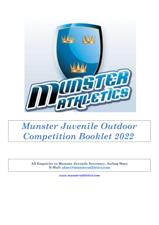

# *Munster Juvenile Outdoor Competition Booklet 2022*

**All Enquiries to Munster Juvenile Secretary, Aisling Hoey E-Mail: [ahoey@munsterathletics.com](mailto:ahoey@munsterathletics.com)**

*[www.munsterathletics.com](http://www.munsterathletics.com/)*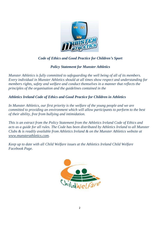

# *Code of Ethics and Good Practice for Children's Sport*

# *Policy Statement for Munster Athletics*

*Munster Athletics is fully committed to safeguarding the well being of all of its members. Every individual in Munster Athletics should at all times show respect and understanding for members rights, safety and welfare and conduct themselves in a manner that reflects the principles of the organisation and the guidelines contained in the*

*Athletics Ireland Code of Ethics and Good Practice for Children in Athletics*

*In Munster Athletics, our first priority is the welfare of the young people and we are committed to providing an environment which will allow participants to perform to the best of their ability, free from bullying and intimidation.*

*This is an extract from the Policy Statement from the Athletics Ireland Code of Ethics and acts as a guide for all rules. The Code has been distributed by Athletics Ireland to all Munster Clubs & is readily available from Athletics Ireland & on the Munster Athletics website at [www.munsterathletics.com.](http://www.munsterathletics.com/)*

*Keep up to date with all Child Welfare issues at the Athletics Ireland Child Welfare Facebook Page.*

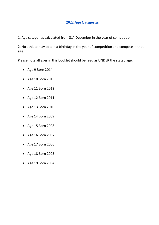1. Age categories calculated from  $31<sup>st</sup>$  December in the year of competition.

2. No athlete may obtain a birthday in the year of competition and compete in that age.

Please note all ages in this booklet should be read as UNDER the stated age.

- Age 9 Born 2014
- Age 10 Born 2013
- Age 11 Born 2012
- Age 12 Born 2011
- Age 13 Born 2010
- Age 14 Born 2009
- Age 15 Born 2008
- Age 16 Born 2007
- Age 17 Born 2006
- Age 18 Born 2005
- Age 19 Born 2004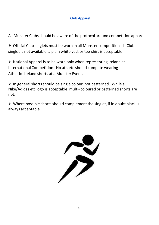All Munster Clubs should be aware of the protocol around competition apparel.

➢ Official Club singlets must be worn in all Munster competitions. If Club singlet is not available, a plain white vest or tee-shirt is acceptable.

 $\triangleright$  National Apparel is to be worn only when representing Ireland at International Competition. No athlete should compete wearing Athletics Ireland shorts at a Munster Event.

 $\triangleright$  In general shorts should be single colour, not patterned. While a Nike/Adidas etc logo is acceptable, multi- coloured or patterned shorts are not.

 $\triangleright$  Where possible shorts should complement the singlet, if in doubt black is always acceptable.

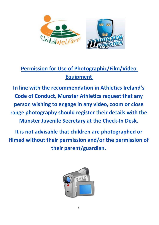

# **Permission for Use of Photographic/Film/Video Equipment**

**In line with the recommendation in Athletics Ireland's Code of Conduct, Munster Athletics request that any person wishing to engage in any video, zoom or close range photography should register their details with the Munster Juvenile Secretary at the Check-In Desk.** 

**It is not advisable that children are photographed or filmed without their permission and/or the permission of their parent/guardian.**

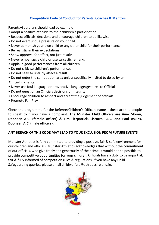### **Competition Code of Conduct for Parents, Coaches & Mentors**

Parents/Guardians should lead by example

- Adopt a positive attitude to their children's participation
- Respect officials' decisions and encourage children to do likewise
- Do not exert undue pressure on your child.
- Never admonish your own child or any other child for their performance
- Be realistic in their expectations
- Show approval for effort, not just results
- Never embarrass a child or use sarcastic remarks
- Applaud good performances from all children
- Do not criticise children's performances
- Do not seek to unfairly affect a result
- Do not enter the competition area unless specifically invited to do so by an Official in charge
- Never use foul language or provocative language/gestures to Officials
- Do not question an Officials decisions or integrity
- Encourage children to respect and accept the judgement of officials
- Promote Fair Play

Check the programme for the Referee/Children's Officers name – these are the people to speak to if you have a complaint. **The Munster Child Officers are Aine Moran, Dooneen A.C. (female officer) & Tim Fitzpatrick, Liscarroll A.C. and Paul Askins, Dooneen A.C. (male officers).**

### **ANY BREACH OF THIS CODE MAY LEAD TO YOUR EXCLUSION FROM FUTURE EVENTS**

Munster Athletics is fully committed to providing a positive, fair & safe environment for our children and officials. Munster Athletics acknowledges that without the commitment of our officials, who give freely and generously of their time, it would not be possible to provide competitive opportunities for your children. Officials have a duty to be impartial, fair & fully informed of competition rules & regulations. If you have any Child Safeguarding queries, please email childwelfare@athleticsireland.ie.

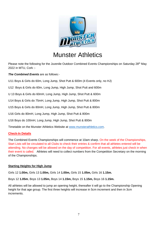

# Munster Athletics

Please note the following for the Juvenile Outdoor Combined Events Championships on Saturday 28<sup>th</sup> May 2022 in MTU, Cork :-

*The Combined Events* are as follows:-

U11 Boys & Girls do 60m, Long Jump, Shot Putt & 600m (4 Events only, no HJ)

U12 Boys & Girls do 60m, Long Jump, High Jump, Shot Putt and 600m

U 13 Boys & Girls do 60mH, Long Jump, High Jump, Shot Putt & 600m

U14 Boys & Girls do 75mH, Long Jump, High Jump, Shot Putt & 800m

U15 Boys & Girls do 80mH, Long Jump, High Jump, Shot Putt & 800m

U16 Girls do 80mH, Long Jump, High Jump, Shot Putt & 800m

U16 Boys do 100mH, Long Jump, High Jump, Shot Putt & 800m

Timetable on the Munster Athletics Website at [www.munsterathletics.com.](http://www.munsterathletics.com/)

#### **Check-In Details**

The Combined Events Championships will commence at 10am sharp. On the week of the Championships, Start Lists will be circulated to all Clubs to check their entries & confirm that all athletes entered will be attending. No changes will be allowed on the day of competition. For all events, athletes just check in when their event is called. Athletes will need to collect numbers from the Competition Secretary on the morning of the Championships.

#### **Starting Heights for High Jump**

Girls 12 **1.00m,** Girls 13 **1.00m,** Girls 14 **1.00m,** Girls 15 **1.05m,** Girls 16 **1.15m.** 

Boys 12 **1.05m**, Boys 13 **1.05m,** Boys 14 **1.15m,** Boys 15 **1.15m,** Boys 16 **1.15m.**

All athletes will be allowed to jump an opening height, thereafter it will go to the Championship Opening height for that age group. The first three heights will increase in 5cm increment and then in 3cm increments.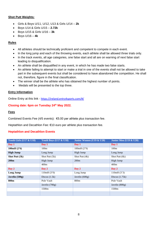#### **Shot Putt Weights:**

- Girls & Boys U/11, U/12, U13 & Girls U/14 **2k**
- Boys U14 & Girls U/15 **2.72k**
- Boys U/15 & Girls U/16 **3k**
- Boys U/16 **4k**

#### **Rules**

- All athletes should be technically proficient and competent to compete in each event.
- In the long jump and each of the throwing events, each athlete shall be allowed three trials only.
- In the track events, all age categories, one false start and all are on warning of next false start leading to disqualification.
- An athlete shall be disqualified in any event, in which he has made two false starts.
- An athlete failing to attempt to start or make a trial in one of the events shall not be allowed to take part in the subsequent events but shall be considered to have abandoned the competition. He shall not, therefore, figure in the final classification.
- The winner shall be the athlete who has obtained the highest number of points.
- Medals will be presented to the top three.

#### **Entry Information**

Online Entry at this link - <https://ireland.entry4sports.com/#/>

#### **Closing date: 6pm on Tuesday 24 th May 2022.**

#### **Fees**

Combined Events Fee (4/5 events): €5.00 per athlete plus transaction fee.

Heptathlon and Decathlon Fee: €10 euro per athlete plus transaction fee.

#### **Heptathlon and Decathlon Events**

| Youth Girls (U17 & U18) | Youth Boys (U17 & U18) | Junior Women (U19 & U20) | Junior Men (U19 & U20) |
|-------------------------|------------------------|--------------------------|------------------------|
| Day 1                   | Day 1                  | Day 1                    | Day 1                  |
| 100mH $(226)$           | 100m                   | 100mH(2'9)               | 100m                   |
| <b>High Jump</b>        | Long Jump              | High Jump                | Long Jump              |
| Shot Putt (3k)          | Shot Putt (5k)         | Shot Putt (4k)           | Shot Putt (6k)         |
| 200 <sub>m</sub>        | High Jump              | 200m                     | High Jump              |
|                         | 400m                   |                          | 400m                   |
| Day 2                   | Day 2                  | Day 2                    | Day 2                  |
| Long Jump               | 110mH (3'0)            | Long Jump                | 110mH (3'3)            |
| Javelin (500g)          | Discus $(1.5k)$        | Javelin $(600g)$         | Discus $(1.75k)$       |
| 800m                    | Pole Vault             | 800m                     | Pole Vault             |
|                         | Javelin $(700g)$       |                          | Javelin $(800g)$       |
|                         | 1500m                  |                          | 1500 <sub>m</sub>      |
|                         |                        |                          |                        |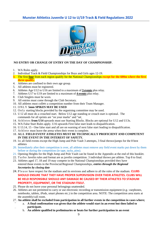

#### **NO ENTRY OR CHANGE OF ENTRY ON THE DAY OF CHAMPIONSHIP.**

- 1. WA Rules apply.
- 2. Individual Track & Field Championships for Boys and Girls ages 12-19.
- **3.** The first **four** from each region qualify for the National Championships **except for the 600m where the first three qualify.**
- 4. Athletes are confined to their own age group.
- 5. All athletes must be registered.
- 6. Athletes Age U12 to U16 are limited to a maximum of **3 events** plus relay.
- 7. Athletes U17 to U19 are limited to a maximum of **4 events** plus relay.
- 8. Club Singlets must be worn.
- 9. All entries must come through the Club Secretary.
- 10. All athletes must collect a competition number from their Team Manager.
- 11. O N L Y **5mm SPIKES MAY BE USED**
- 12. Only starting blocks provided by the organising committee may be used.
- 13. U12 all must do a crouched start. Below U12 age standing or crouch start is optional. The commands for all sprints are "on your marks" and "set .
- 14. A th l e tes **from U14** upwards must use Starting Blocks. Blocks are optional for U12 and U13s.
- 15. WA False Start Rules apply. U16 upwards First false start leads to disqualification.
- 16. U13.14, 15 One false start and all are on warning of next false start leading to disqualification.
- 17. A th l e te must leave the arena when their event is complete.
- 18. **ALL FIELD EVENT ATHLETES MUST BE TECHNICALLY PROFICIENT AND COMPETENT IN THE EVENT IN THE INTEREST OF SAFETY.**
- 19. In all field events except the High Jump and Pole Vault 3 attempts, 3 final throws/jumps for the 8 best athletes
- 20. Immediately after their competition is over, all athletes must remove any field event marks put down by them before or during the competition (ie tape, tacks, pins).
- 21. Opening Heights for the High Jump and Pole Vault can be found in the Appendix at the end of this booklet.
- 22. Turbo Javelin rules and format are as javelin competition. 3 individual throws per athlete. Top 8 to final.
- 23. Athletes aged 17, 18 and 19 may compete in the National Championships provided they have entered those events in the Provincial/Regional Championships, *entries through the Regional Secretaries by closing date*
- 24. Ple as e have respect for the stadium and its environs and adhere to all the rules of the stadium. **CLUBS SHOULD ENSURE THAT THEY HAVE PROPER SUPERVISION OVER THEIR ATHLETES. CLUBS WILL BE HELD RESPONSIBLE SHOULD ANY DAMAGE BE CAUSED BY THEIR ATHLETES TO STADIUM PROPERTY, EQUIPMENT, OR THE STADIUM ITSELF.**
- 25. Please do not leave your personal belongings unattended.
- 26. Athletes are not permitted to carry or use electronic recording or transmission equipment (e.g.: earphones, notebooks, tablets, iPods, smart phones etc.) in the competition area. NOTE: The competition area starts at the assembly/call room.
- 27. **An athlete shall be excluded from participation in all further events in the competition in cases where;**
	- a. **A final confirmation was given that the athlete would start in an event but then failed to participate.**
		- b. **An athlete qualified in preliminaries or heats for further participation in an event**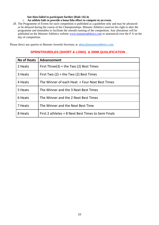#### **but then failed to participate further (Rule 142.4)**

#### c. **An athlete fails to provide a bona fida effort to compete in an event.**

28. The Programme of Events for each competition is published as a guideline only and may be advanced or be delayed during the course of the Championships. Munster Athletics reserves the right to alter the programme and timetables to facilitate the smooth running of the competition. Any alterations will be published on the Munster Athletics website [www.munsterathletics.com](http://www.munsterathletics.com/) or announced over the P A on the day of competition.

Please direct any queries to Munster Juvenile Secretary at [ahoey@munsterathletics.com.](mailto:ahoey@munsterathletics.com)

# **No of Heats | Advancement** 2 Heats First Three(3) + the Two (2) Best Times 3 Heats  $\vert$  First Two (2) + the Two (2) Best Times 4 Heats The Winner of each Heat + Four Next Best Times 5 Heats **The Winner and the 3 Next Best Times** 6 Heats **The Winner and the 2 Next Best Times** 7 Heats The Winner and the Next Best Time 8 Heats  $\vert$  First 2 athletes + 8 Next Best Times to Semi Finals

### **SPRINT/HURDLES (SHORT & LONG) & 200M QUALIFICATION**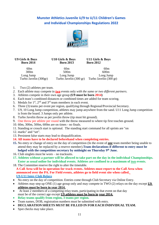# **Munster Athletics Juvenile U/9 to U/11 Children's Games and Individual Championships Regulations 2022**



#### **U9 Girls & Boys Born 2014**

**U10 Girls & Boys Born 2013**

**U11 Girls & Boys Born 2012**

60m 60m 60m 300m 500m 600m Long Jump Long Jump Long Jump Turbo Javelin  $(300 \text{ gr})$ 

- 1. Two (2) athletes per team.
- *2.* Each athlete may compete in **two** events only *with the same or two different partners.*
- 3. Athletes compete in their own age group **(U9 must be born 2014)**
- 4. Each team's combined distances or combined times are added for team scoring.
- 5. Medals for  $1<sup>st</sup>$ ,  $2<sup>nd</sup>$  and  $3<sup>rd</sup>$  team members in each event.
- 6. Three (3) teams per event per region, qualifying through Regional/Provincial Secretary.
- 7. U9, 10 Long Jump competition, athletes may jump anywhere from the sand. U11 Long Jump competition is from the board. 3 Jumps only per athlete.
- 8. Turbo Javelin throw as per javelin throw (tip must hit ground).
- 9. One throw per athlete per round with the throw measured to where tip first touches ground.
- 10. 60m, 300m, 500m, 600m are on times no finals.
- 11. Standing or crouch start is optional. The standing start command for all sprints are "on
- 12. marks" and "set".
- 13. Persistent false starts may lead to disqualification.
- **14. All teams have to be declared beforehand when completing entries.**
- **15.** No entry or change of entry on the day of competition (In the event of **one** team member being unable to attend they may be replaced by a reserve member).**Team declarations if different to entry must be lodged with the competition secretary by midnight on Thursday 9 th June.**
- 16. Club singlets must be worn no tracksuits.
- **17. Athletes without a partner will be allowed to take part on the day in the individual Championships. Enter as usual online for individual events. Athletes are confined to a maximum of two events.**
- 18. The Committee reserve the right to alter the timetable. **A Call Area will be in operation for track events. Athletes must report to the Call Area when announced over the PA. For Field events, athletes go to field event site when called. U9-U11 Inter-Club Relays**
- No entry on the day of competition. Entries come through Club Secretary via Online Entry.
- Athletes may step up ONE (1) age group only and may compete in TWO (2) relays on the day except **U9 athletes must be born in year 2014.**
- At least 2 members of a competing relay team, participating in that event on that day must be of the correct age except **U9 athletes must be born in year 2014.**
- **Relay teams qualify from region, 3 teams per region.**
- Team names, DOB, registration numbers must be submitted with entry.
- **DECLARATION SHEETS MUST BE FILLED IN FOR EACH INDIVIDUAL TEAM.**
- Spot checks may take place.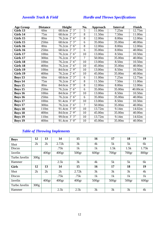# *Juvenile Track & Field Hurdle and Throws Specifications*

| <b>Age Group</b> | <b>Distance</b>  | Height                                         | No.            | Approach | <b>Interval</b>   | Finish  |
|------------------|------------------|------------------------------------------------|----------------|----------|-------------------|---------|
| Girls 13         | 60m              | 68.6cm 2' 3"                                   | 5              | 11.00m   | 7.25m             | 12.75m  |
| Girls 14         | 75m              | 68.6cm 2' 3"                                   | 8              | 11.50m   | 7.50 <sub>m</sub> | 11.00m  |
| Girls 15         | 80 <sub>m</sub>  | 76.2cm 2' 6"                                   | 8              | 12.00m   | 8.00m             | 12.00m  |
| Girls 15         | 250m             | 68.6cm 2' 3"                                   | 6              | 35.00m   | 35.00m            | 40.00m  |
| Girls 16         | 80 <sub>m</sub>  | 76.2cm $2'\overline{6''}$                      | $\overline{8}$ | 12.00m   | 8.00m             | 12.00m  |
| Girls 16         | 250 <sub>m</sub> | 68.6cm 2' 3"                                   | 6              | 35.00m   | 8.00m             | 40.00m  |
| Girls 17         | 100m             | 76.2cm 2' 6"                                   | 10             | 13.00m   | 8.50m             | 10.50m  |
| Girls 17         | 300m             | 76.2cm 2' 6"                                   | 7              | 50.00m   | 35.00m            | 40.00m  |
| Girls 18         | 100m             | 76.2cm 2' 6"                                   | 10             | 13.00m   | 8.50m             | 10.50m  |
| Girls 18         | 400m             | 76.2cm 2' 6"                                   | 10             | 45.00m   | 35.00m            | 40.00m  |
| Girls 19         | 100m             | 84.0cm $2'9''$                                 | 10             | 13.00m   | 8.50m             | 10.50m  |
| Girls 19         | 400m             | 76.2cm 2' 6"                                   | 10             | 45.00m   | 35.00m            | 40.00m  |
| <b>Boys 13</b>   | 60m              | 68.6cm $2\sqrt{3}$                             | 6              | 11.00m   | 7.25m             | 12.75m  |
| <b>Boys 14</b>   | 75m              | 76.2cm $2^{\circ}$ 6 <sup>77</sup>             | 8              | 11.50m   | 7.50 <sub>m</sub> | 11.00m  |
| <b>Boys 15</b>   | 80 <sub>m</sub>  | $84.0cm$ $2'9''$                               | $\overline{8}$ | 12.00m   | 8.00m             | 12.00m  |
| <b>Boys 15</b>   | 250m             | 76.2cm $2^{\degree}$ 6"                        | 6              | 35.00m   | 35.00m            | 40.00cm |
| <b>Boys 16</b>   | 100m             | 84.0cm $2^{7}$ 9"                              | 10             | 13.00m   | 8.50m             | 10.50m  |
| <b>Boys 16</b>   | 250m             | 76.2cm $2^{\circ}$ 6 <sup>77</sup>             | 6              | 35.00m   | 35.00m            | 40.00m  |
| <b>Boys 17</b>   | 100m             | 91.4cm 3' 0"                                   | 10             | 13.00m   | 8.50 <sub>m</sub> | 10.50m  |
| <b>Boys 17</b>   | 300 <sub>m</sub> | 76.2cm 2' 6"                                   | $\overline{7}$ | 50.00m   | 35.00m            | 40.00m  |
| <b>Boys 18</b>   | 110m             | 91.4cm $3'$ $\overline{0''}$                   | 10             | 13.72m   | 9.14m             | 14.02m  |
| <b>Boys 18</b>   | 400m             | 84.0cm 2' 9"                                   | 10             | 45.00m   | 35.00m            | 40.00m  |
| <b>Boys 19</b>   | 110m             | 99.0cm $3\overline{3\overline{3\overline{3}}}$ | 10             | 13.72m   | 9.14m             | 14.02m  |
| <b>Boys 19</b>   | 400m             | 91.4cm $3\overline{0}$                         | 10             | 45.00m   | 35.00m            | 40.00m  |

# *Table of Throwing Implements*

| <b>Boys</b>   | 12   | 13              | 14                | 15                | 16                | 17                | 18                | 19                |
|---------------|------|-----------------|-------------------|-------------------|-------------------|-------------------|-------------------|-------------------|
| Shot          | 2k   | 2k              | 2.72k             | 3k                | 4k                | 5k                | 5k                | 6k                |
| <b>Discus</b> |      |                 | .75k              | 1k                | 1k                | 1.5k              | 1.5k              | 1.75k             |
| Javelin       |      | $400 \text{gr}$ | 400 <sub>gr</sub> | 500 <sub>gr</sub> | 600 <sub>gr</sub> | 700 <sub>gr</sub> | 700 <sub>gr</sub> | 800 <sub>gr</sub> |
| Turbo Javelin | 300g |                 |                   |                   |                   |                   |                   |                   |
| Hammer        |      |                 | 2.5k              | 3k                | 4k                | 5k                | 5k                | 6k                |
| <b>Girls</b>  | 12   | 13              | 14                | 15                | 16                | 17                | 18                | 19                |
| Shot          | 2k   | 2k              | 2k                | 2.72k             | 3k                | 3k                | 3k                | 4k                |
| <b>Discus</b> |      |                 | .75k              | .75k              | 1k                | 1k                | 1k                | 1k                |
| Javelin       |      | $400 \text{gr}$ | 400 <sub>gr</sub> | 400 <sub>gr</sub> | 500 <sub>gr</sub> | 500 <sub>gr</sub> | 500 <sub>gr</sub> | 600 <sub>gr</sub> |
| Turbo Javelin | 300g |                 |                   |                   |                   |                   |                   |                   |
| Hammer        |      |                 | 2.5k              | 2.5k              | 3k                | 3k                | 3k                | 4k                |